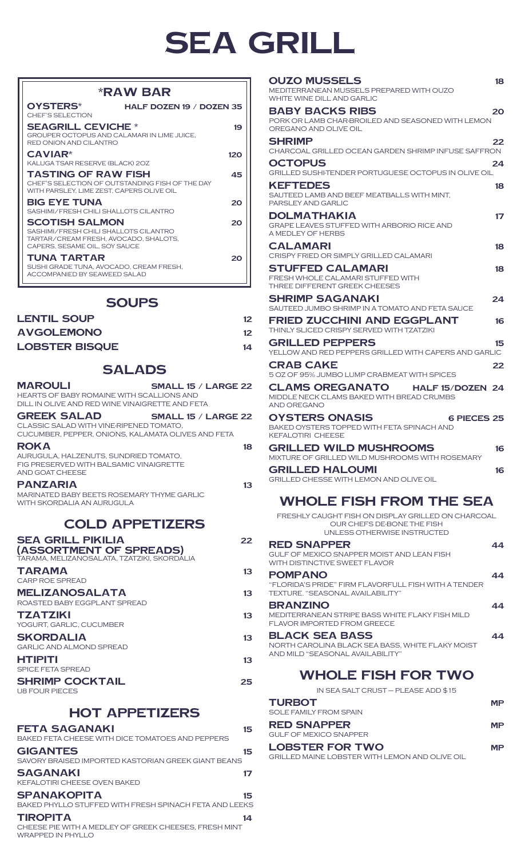# **SEA GRILL**

| <b>OYSTERS*</b><br>CHEF'S SELECTION                                                                                              | HALF DOZEN 19 / DOZEN 35 |
|----------------------------------------------------------------------------------------------------------------------------------|--------------------------|
| <b>SEAGRILL CEVICHE *</b><br>GROUPER OCTOPUS AND CALAMARI IN LIME JUICE,<br>RED ONION AND CILANTRO                               | 19                       |
| <b>CAVIAR*</b><br>KALUGA TSAR RESERVE (BLACK) 20Z                                                                                | 120                      |
| <b>TASTING OF RAW FISH</b><br>CHEF'S SELECTION OF OUTSTANDING FISH OF THE DAY<br>WITH PARSLEY, LIME ZEST, CAPERS OLIVE OIL       | 45                       |
| <b>BIG EYE TUNA</b><br>SASHIMI/FRESH CHILLSHALLOTS CILANTRO                                                                      | 20                       |
| SCOTISH SALMON<br>SASHIMI/FRESH CHILLSHALLOTS CILANTRO<br>TARTAR/CREAM FRESH, AVOCADO, SHALOTS,<br>CAPERS, SESAME OIL, SOY SAUCE | 20                       |
| TUNA TARTAR<br>SUSHI GRADE TUNA, AVOCADO, CREAM FRESH,<br>ACCOMPANIED BY SEAWEED SALAD                                           | 20                       |

#### **SOUPS**

| <b>LENTIL SOUP</b>    | 12      |
|-----------------------|---------|
| <b>AVGOLEMONO</b>     | $12 \,$ |
| <b>LOBSTER BISQUE</b> | 14      |

### **SALADS**

| <b>MAROULI</b><br>HEARTS OF BABY ROMAINE WITH SCALLIONS AND<br>DILL IN OLIVE AND RED WINE VINAIGRETTE AND FETA            | <b>SMALL 15 / LARGE 22</b> |
|---------------------------------------------------------------------------------------------------------------------------|----------------------------|
| <b>GREEK SALAD</b><br>CLASSIC SALAD WITH VINE-RIPENED TOMATO.<br>CUCUMBER, PEPPER, ONIONS, KALAMATA OLIVES AND FETA       | <b>SMALL 15 / LARGE 22</b> |
| <b>ROKA</b><br>AURUGULA, HALZENUTS, SUNDRIED TOMATO.<br>FIG PRESERVED WITH BALSAMIC VINAIGRETTE<br><b>AND GOAT CHEESE</b> | 18                         |
| <b>PANZARIA</b><br>MARINATED BABY BEETS ROSEMARY THYME GARLIC<br>WITH SKORDALIA AN AURUGULA                               | 13                         |
| <b>COLD APPETIZERS</b>                                                                                                    |                            |
| <b>SEA GRILL PIKILIA</b><br>(ASSORTMENT OF SPREADS)<br>ŤARAMA, MELIZANOSALATA, TZATZIKI, SKORDÁLIA                        | 22                         |
| TARAMA<br><b>CARP ROF SPREAD</b>                                                                                          | 13                         |
| <b>MELIZANOSALATA</b><br>ROASTED BARY EGGPL ANT SPREAD                                                                    | 13                         |
| <b>TZATZIKI</b><br>YOGURT, GARLIC, CUCUMBER                                                                               | 13                         |
| <b>SKORDALIA</b><br><b>GARLIC AND ALMOND SPREAD</b>                                                                       | 13                         |
| <b>HTIPITI</b><br><b>SPICE FETA SPREAD</b>                                                                                | 13                         |
| <b>SHRIMP COCKTAIL</b><br><b>U8 FOUR PIECES</b>                                                                           | 25                         |
| <b>HOT APPETIZERS</b>                                                                                                     |                            |

#### **HOT APPETIZERS**

| <b>FETA SAGANAKI</b><br>BAKED FETA CHEESE WITH DICE TOMATOES AND PEPPERS     | 15 |
|------------------------------------------------------------------------------|----|
| <b>GIGANTES</b><br>SAVORY BRAISED IMPORTED KASTORIAN GREEK GIANT BEANS       | 15 |
| <b>SAGANAKI</b><br>KEFAL OTIRI CHEESE OVEN BAKED                             | 17 |
| <b>SPANAKOPITA</b><br>BAKED PHYLLO STUFFED WITH FRESH SPINACH FFTA AND LEEKS | 15 |
| <b>TIROPITA</b>                                                              | 14 |

CHEESE PIE WITH A MEDLEY OF GREEK CHEESES, FRESH MINT WRAPPED IN PHYLLO

| <b>OUZO MUSSELS</b>                                                                                                   | 18 |
|-----------------------------------------------------------------------------------------------------------------------|----|
| MEDITERRANEAN MUSSELS PREPARED WITH OUZO<br>WHITE WINE DILL AND GARLIC                                                |    |
| <b>BABY BACKS RIBS</b><br>PORK OR LAMB CHAR-BROILED AND SEASONED WITH LEMON<br>OREGANO AND OLIVE OIL                  | 20 |
| <b>SHRIMP</b><br>CHARCOAL GRILLED OCEAN GARDEN SHRIMP INFUSE SAFFRON                                                  | 22 |
| <b>OCTOPUS</b><br>GRILLED SUSHI-TENDER PORTUGUESE OCTOPUS IN OLIVE OIL                                                | 24 |
| <b>KEFTEDES</b><br>SAUTEED LAMB AND BEEF MEATBALLS WITH MINT,                                                         | 18 |
| PARSLEY AND GARLIC<br><b>DOLMATHAKIA</b>                                                                              | 17 |
| <b>GRAPE LEAVES STUFFED WITH ARBORIO RICE AND</b><br>A MEDLEY OF HERBS                                                |    |
| <b>CALAMARI</b><br>CRISPY FRIED OR SIMPLY GRILLED CALAMARI                                                            | 18 |
| <b>STUFFED CALAMARI</b>                                                                                               | 18 |
| FRESH WHOLE CALAMARI STUFFED WITH<br>THREE DIFFERENT GREEK CHEESES                                                    |    |
| SHRIMP SAGANAKI<br>SAUTEED JUMBO SHRIMP IN A TOMATO AND FETA SAUCE                                                    | 24 |
| <b>FRIED ZUCCHINI AND EGGPLANT</b><br>THINLY SLICED CRISPY SERVED WITH TZATZIKI                                       | 16 |
| <b>GRILLED PEPPERS</b><br>YELLOW AND RED PEPPERS GRILLED WITH CAPERS AND GARLIC                                       | 15 |
| <b>CRAB CAKE</b><br>5 OZ OF 95% JUMBO LUMP CRABMEAT WITH SPICES                                                       | 22 |
| <b>CLAMS OREGANATO</b><br>HALF 15/DOZEN 24<br>MIDDLE NECK CLAMS BAKED WITH BREAD CRUMBS                               |    |
| AND OREGANO                                                                                                           |    |
| <b>OYSTERS ONASIS</b><br><b>6 PIECES 25</b><br>BAKED OYSTERS TOPPED WITH FETA SPINACH AND<br><b>KEFALOTIRI CHEESE</b> |    |
| <b>GRILLED WILD MUSHROOMS</b>                                                                                         | 16 |
| MIXTURE OF GRILLED WILD MUSHROOMS WITH ROSEMARY<br><b>GRILLED HALOUMI</b>                                             | 16 |
| GRILLED CHESSE WITH LEMON AND OLIVE OIL.                                                                              |    |
| <b>WHOLE FISH FROM THE SEA</b>                                                                                        |    |
| FRESHLY CAUGHT FISH ON DISPLAY GRILLED ON CHARCOAL<br>OUR CHEES DE-BONE THE FISH<br>UNLESS OTHERWISE INSTRUCTED       |    |
| <b>RED SNAPPER</b>                                                                                                    | 44 |
| GULF OF MEXICO SNAPPER MOIST AND LEAN FISH<br>WITH DISTINCTIVE SWEET FLAVOR                                           |    |
| <b>POMPANO</b><br>"FLORIDA'S PRIDE" FIRM FLAVORFULL FISH WITH A TENDER<br>TEXTURE. "SEASONAL AVAILABILITY"            | 44 |
| <b>BRANZINO</b><br>MEDITERRANEAN STRIPE BASS WHITE FLAKY FISH MILD                                                    | 44 |
| <b>FLAVOR IMPORTED FROM GREECE</b>                                                                                    |    |
| <b>BLACK SEA BASS</b><br>NORTH CAROLINA BLACK SEA BASS, WHITE FLAKY MOIST<br>AND MILD "SEASONAL AVAILABILITY"         | 44 |
| <b>WHOLE FISH FOR TWO</b>                                                                                             |    |
| IN SEA SALT CRUST - PLEASE ADD \$15                                                                                   |    |
| <b>TURBOT</b><br><b>SOLE FAMILY FROM SPAIN</b>                                                                        | MP |

**LOBSTER FOR TWO MP**

GRILLED MAINE LOBSTER WITH LEMON AND OLIVE OIL